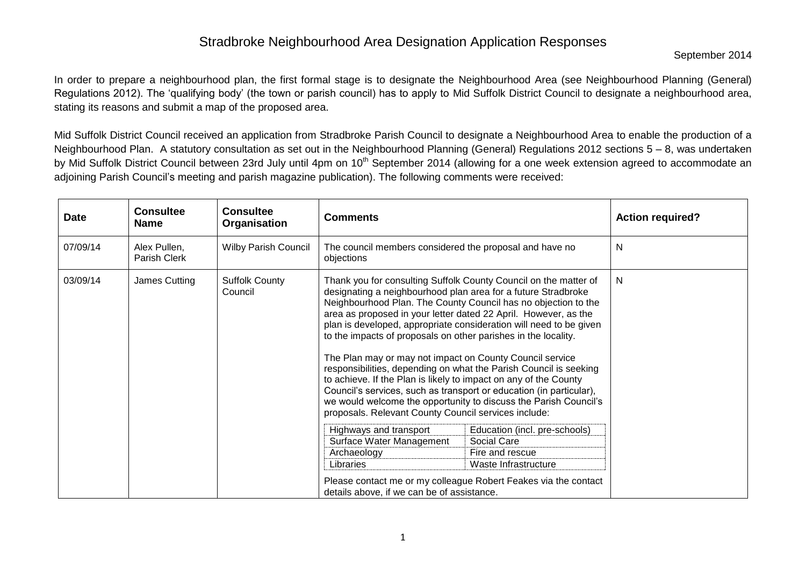September 2014

In order to prepare a neighbourhood plan, the first formal stage is to designate the Neighbourhood Area (see Neighbourhood Planning (General) Regulations 2012). The 'qualifying body' (the town or parish council) has to apply to Mid Suffolk District Council to designate a neighbourhood area, stating its reasons and submit a map of the proposed area.

Mid Suffolk District Council received an application from Stradbroke Parish Council to designate a Neighbourhood Area to enable the production of a Neighbourhood Plan. A statutory consultation as set out in the Neighbourhood Planning (General) Regulations 2012 sections 5 – 8, was undertaken by Mid Suffolk District Council between 23rd July until 4pm on 10<sup>th</sup> September 2014 (allowing for a one week extension agreed to accommodate an adjoining Parish Council's meeting and parish magazine publication). The following comments were received:

| <b>Date</b> | <b>Consultee</b><br><b>Name</b> | <b>Consultee</b><br>Organisation | <b>Comments</b>                                                                                                                                                                                                                                                                                                                                                                                                                                                                                                                                                                                                                                                                                                                                                                                                        |                                              | <b>Action required?</b> |
|-------------|---------------------------------|----------------------------------|------------------------------------------------------------------------------------------------------------------------------------------------------------------------------------------------------------------------------------------------------------------------------------------------------------------------------------------------------------------------------------------------------------------------------------------------------------------------------------------------------------------------------------------------------------------------------------------------------------------------------------------------------------------------------------------------------------------------------------------------------------------------------------------------------------------------|----------------------------------------------|-------------------------|
| 07/09/14    | Alex Pullen,<br>Parish Clerk    | <b>Wilby Parish Council</b>      | The council members considered the proposal and have no<br>objections                                                                                                                                                                                                                                                                                                                                                                                                                                                                                                                                                                                                                                                                                                                                                  |                                              | N                       |
| 03/09/14    | James Cutting                   | <b>Suffolk County</b><br>Council | Thank you for consulting Suffolk County Council on the matter of<br>designating a neighbourhood plan area for a future Stradbroke<br>Neighbourhood Plan. The County Council has no objection to the<br>area as proposed in your letter dated 22 April. However, as the<br>plan is developed, appropriate consideration will need to be given<br>to the impacts of proposals on other parishes in the locality.<br>The Plan may or may not impact on County Council service<br>responsibilities, depending on what the Parish Council is seeking<br>to achieve. If the Plan is likely to impact on any of the County<br>Council's services, such as transport or education (in particular),<br>we would welcome the opportunity to discuss the Parish Council's<br>proposals. Relevant County Council services include: |                                              | N.                      |
|             |                                 |                                  | Highways and transport<br>Surface Water Management                                                                                                                                                                                                                                                                                                                                                                                                                                                                                                                                                                                                                                                                                                                                                                     | Education (incl. pre-schools)<br>Social Care |                         |
|             |                                 |                                  | Archaeology                                                                                                                                                                                                                                                                                                                                                                                                                                                                                                                                                                                                                                                                                                                                                                                                            | Fire and rescue                              |                         |
|             |                                 |                                  | Libraries                                                                                                                                                                                                                                                                                                                                                                                                                                                                                                                                                                                                                                                                                                                                                                                                              | Waste Infrastructure                         |                         |
|             |                                 |                                  | Please contact me or my colleague Robert Feakes via the contact<br>details above, if we can be of assistance.                                                                                                                                                                                                                                                                                                                                                                                                                                                                                                                                                                                                                                                                                                          |                                              |                         |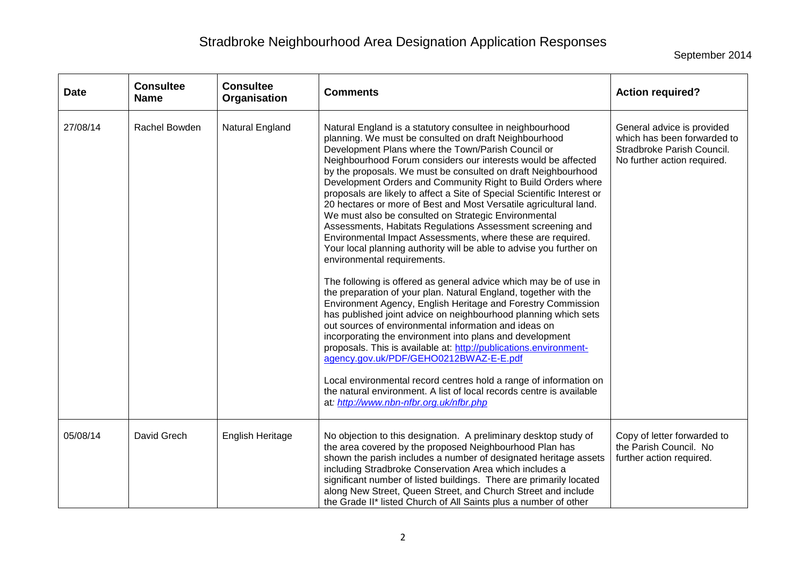September 2014

| <b>Date</b> | <b>Consultee</b><br><b>Name</b> | <b>Consultee</b><br>Organisation | <b>Comments</b>                                                                                                                                                                                                                                                                                                                                                                                                                                                                                                                                                                                                                                                                                                                                                                                                                                                                                                                                                                                                                                                                                                                                                                                                                                                                                                                                                                                                                                                                                                               | <b>Action required?</b>                                                                                                |
|-------------|---------------------------------|----------------------------------|-------------------------------------------------------------------------------------------------------------------------------------------------------------------------------------------------------------------------------------------------------------------------------------------------------------------------------------------------------------------------------------------------------------------------------------------------------------------------------------------------------------------------------------------------------------------------------------------------------------------------------------------------------------------------------------------------------------------------------------------------------------------------------------------------------------------------------------------------------------------------------------------------------------------------------------------------------------------------------------------------------------------------------------------------------------------------------------------------------------------------------------------------------------------------------------------------------------------------------------------------------------------------------------------------------------------------------------------------------------------------------------------------------------------------------------------------------------------------------------------------------------------------------|------------------------------------------------------------------------------------------------------------------------|
| 27/08/14    | Rachel Bowden                   | Natural England                  | Natural England is a statutory consultee in neighbourhood<br>planning. We must be consulted on draft Neighbourhood<br>Development Plans where the Town/Parish Council or<br>Neighbourhood Forum considers our interests would be affected<br>by the proposals. We must be consulted on draft Neighbourhood<br>Development Orders and Community Right to Build Orders where<br>proposals are likely to affect a Site of Special Scientific Interest or<br>20 hectares or more of Best and Most Versatile agricultural land.<br>We must also be consulted on Strategic Environmental<br>Assessments, Habitats Regulations Assessment screening and<br>Environmental Impact Assessments, where these are required.<br>Your local planning authority will be able to advise you further on<br>environmental requirements.<br>The following is offered as general advice which may be of use in<br>the preparation of your plan. Natural England, together with the<br>Environment Agency, English Heritage and Forestry Commission<br>has published joint advice on neighbourhood planning which sets<br>out sources of environmental information and ideas on<br>incorporating the environment into plans and development<br>proposals. This is available at: http://publications.environment-<br>agency.gov.uk/PDF/GEHO0212BWAZ-E-E.pdf<br>Local environmental record centres hold a range of information on<br>the natural environment. A list of local records centre is available<br>at: http://www.nbn-nfbr.org.uk/nfbr.php | General advice is provided<br>which has been forwarded to<br>Stradbroke Parish Council.<br>No further action required. |
| 05/08/14    | David Grech                     | English Heritage                 | No objection to this designation. A preliminary desktop study of<br>the area covered by the proposed Neighbourhood Plan has<br>shown the parish includes a number of designated heritage assets<br>including Stradbroke Conservation Area which includes a<br>significant number of listed buildings. There are primarily located<br>along New Street, Queen Street, and Church Street and include<br>the Grade II* listed Church of All Saints plus a number of other                                                                                                                                                                                                                                                                                                                                                                                                                                                                                                                                                                                                                                                                                                                                                                                                                                                                                                                                                                                                                                                        | Copy of letter forwarded to<br>the Parish Council. No<br>further action required.                                      |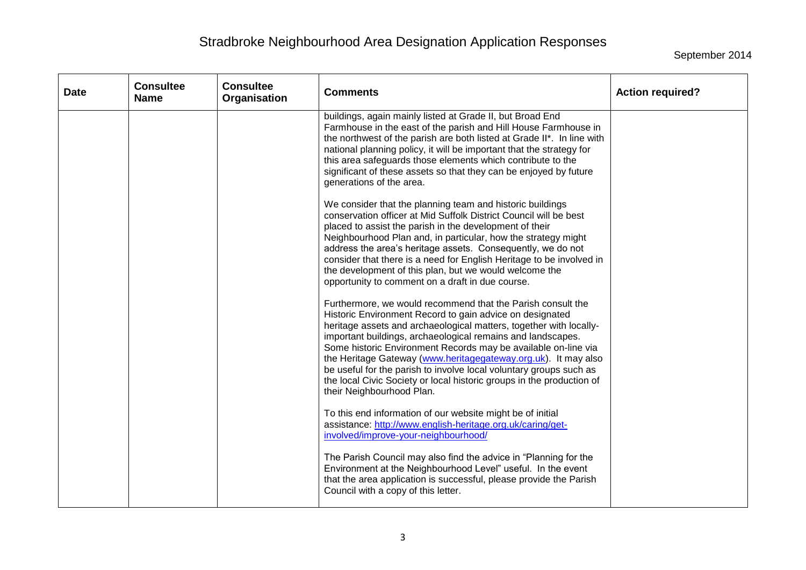September 2014

| <b>Date</b> | <b>Consultee</b><br><b>Name</b> | <b>Consultee</b><br>Organisation | <b>Comments</b>                                                                                                                                                                                                                                                                                                                                                                                                                                                                                                                                                              | <b>Action required?</b> |
|-------------|---------------------------------|----------------------------------|------------------------------------------------------------------------------------------------------------------------------------------------------------------------------------------------------------------------------------------------------------------------------------------------------------------------------------------------------------------------------------------------------------------------------------------------------------------------------------------------------------------------------------------------------------------------------|-------------------------|
|             |                                 |                                  | buildings, again mainly listed at Grade II, but Broad End<br>Farmhouse in the east of the parish and Hill House Farmhouse in<br>the northwest of the parish are both listed at Grade II*. In line with<br>national planning policy, it will be important that the strategy for<br>this area safeguards those elements which contribute to the<br>significant of these assets so that they can be enjoyed by future<br>generations of the area.                                                                                                                               |                         |
|             |                                 |                                  | We consider that the planning team and historic buildings<br>conservation officer at Mid Suffolk District Council will be best<br>placed to assist the parish in the development of their<br>Neighbourhood Plan and, in particular, how the strategy might<br>address the area's heritage assets. Consequently, we do not<br>consider that there is a need for English Heritage to be involved in<br>the development of this plan, but we would welcome the<br>opportunity to comment on a draft in due course.                                                              |                         |
|             |                                 |                                  | Furthermore, we would recommend that the Parish consult the<br>Historic Environment Record to gain advice on designated<br>heritage assets and archaeological matters, together with locally-<br>important buildings, archaeological remains and landscapes.<br>Some historic Environment Records may be available on-line via<br>the Heritage Gateway (www.heritagegateway.org.uk). It may also<br>be useful for the parish to involve local voluntary groups such as<br>the local Civic Society or local historic groups in the production of<br>their Neighbourhood Plan. |                         |
|             |                                 |                                  | To this end information of our website might be of initial<br>assistance: http://www.english-heritage.org.uk/caring/get-<br>involved/improve-your-neighbourhood/                                                                                                                                                                                                                                                                                                                                                                                                             |                         |
|             |                                 |                                  | The Parish Council may also find the advice in "Planning for the<br>Environment at the Neighbourhood Level" useful. In the event<br>that the area application is successful, please provide the Parish<br>Council with a copy of this letter.                                                                                                                                                                                                                                                                                                                                |                         |